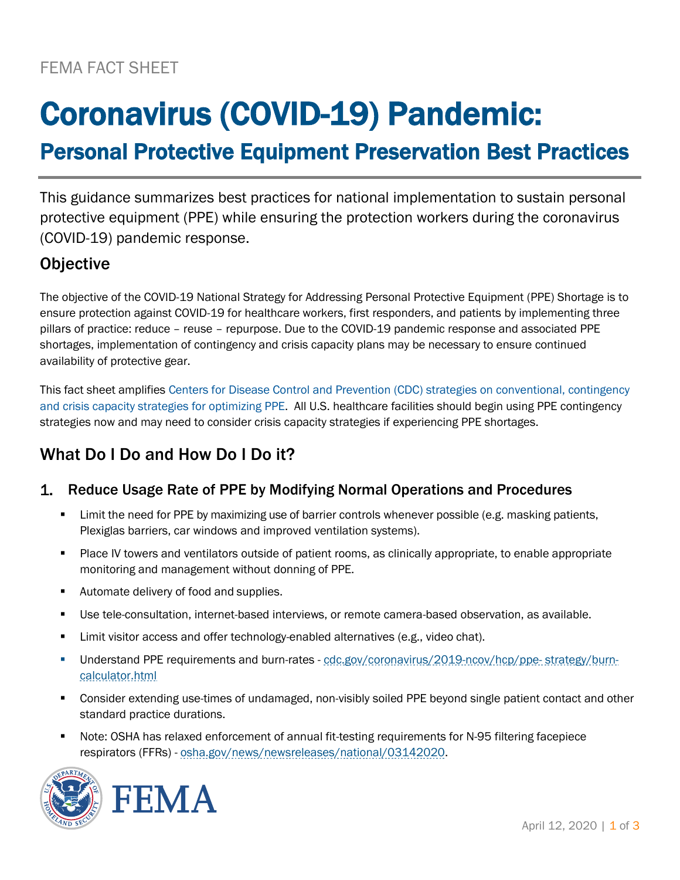# Coronavirus (COVID-19) Pandemic:

# Personal Protective Equipment Preservation Best Practices

This guidance summarizes best practices for national implementation to sustain personal protective equipment (PPE) while ensuring the protection workers during the coronavirus (COVID-19) pandemic response.

## **Objective**

The objective of the COVID-19 National Strategy for Addressing Personal Protective Equipment (PPE) Shortage is to ensure protection against COVID-19 for healthcare workers, first responders, and patients by implementing three pillars of practice: reduce – reuse – repurpose. Due to the COVID-19 pandemic response and associated PPE shortages, implementation of contingency and crisis capacity plans may be necessary to ensure continued availability of protective gear.

This fact sheet amplifies [Centers for Disease Control and Prevention \(CDC\)](https://www.cdc.gov/coronavirus/2019-ncov/hcp/ppe-strategy/index.html) strategies on conventional, contingency [and crisis capacity strategies for optimizing PPE.](https://www.cdc.gov/coronavirus/2019-ncov/hcp/ppe-strategy/index.html) All U.S. healthcare facilities should begin using PPE contingency strategies now and may need to consider crisis capacity strategies if experiencing PPE shortages.

## What Do I Do and How Do I Do it?

#### 1. Reduce Usage Rate of PPE by Modifying Normal Operations and Procedures

- **E** Limit the need for PPE by maximizing use of barrier controls whenever possible (e.g. masking patients, Plexiglas barriers, car windows and improved ventilation systems).
- Place IV towers and ventilators outside of patient rooms, as clinically appropriate, to enable appropriate monitoring and management without donning of PPE.
- Automate delivery of food and supplies.
- Use tele-consultation, internet-based interviews, or remote camera-based observation, as available.
- Limit visitor access and offer technology-enabled alternatives (e.g., video chat).
- Understand PPE requirements and burn-rates [cdc.gov/coronavirus/2019-ncov/hcp/ppe-](https://www.cdc.gov/coronavirus/2019-ncov/hcp/ppe-strategy/burn-calculator.html) [strategy/burn](https://www.cdc.gov/coronavirus/2019-ncov/hcp/ppe-strategy/burn-calculator.html)[calculator.html](https://www.cdc.gov/coronavirus/2019-ncov/hcp/ppe-strategy/burn-calculator.html)
- Consider extending use-times of undamaged, non-visibly soiled PPE beyond single patient contact and other standard practice durations.
- Note: OSHA has relaxed enforcement of annual fit-testing requirements for N-95 filtering facepiece respirators (FFRs) - [osha.gov/news/newsreleases/national/03142020.](https://www.osha.gov/news/newsreleases/national/03142020)



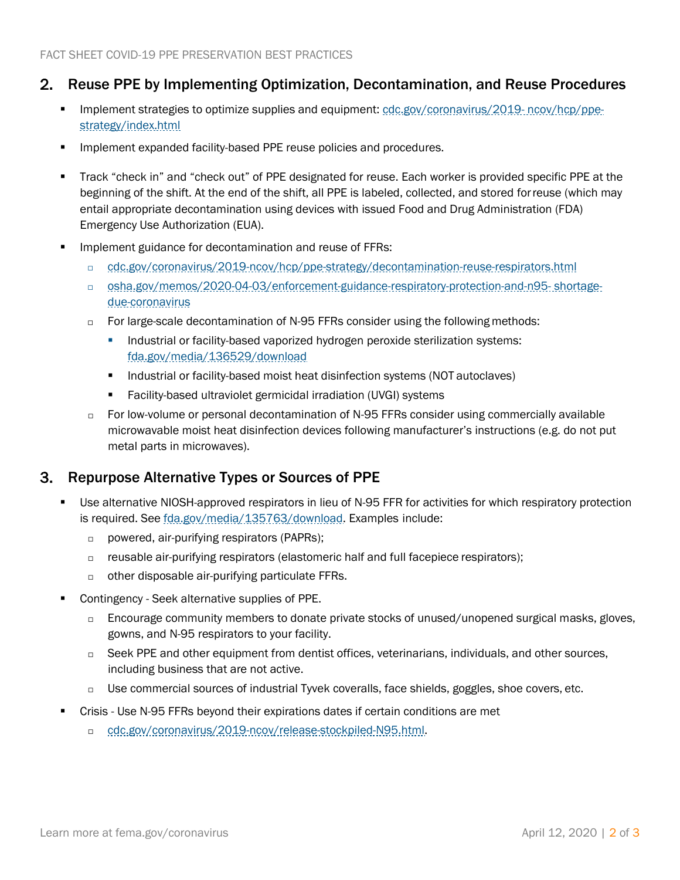#### 2. Reuse PPE by Implementing Optimization, Decontamination, and Reuse Procedures

- Implement strategies to optimize supplies and equipment: [cdc.gov/coronavirus/2019-](https://www.cdc.gov/coronavirus/2019-ncov/hcp/ppe-strategy/index.html) [ncov/hcp/ppe](https://www.cdc.gov/coronavirus/2019-ncov/hcp/ppe-strategy/index.html)[strategy/index.html](https://www.cdc.gov/coronavirus/2019-ncov/hcp/ppe-strategy/index.html)
- Implement expanded facility-based PPE reuse policies and procedures.
- Track "check in" and "check out" of PPE designated for reuse. Each worker is provided specific PPE at the beginning of the shift. At the end of the shift, all PPE is labeled, collected, and stored forreuse (which may entail appropriate decontamination using devices with issued Food and Drug Administration (FDA) Emergency Use Authorization (EUA).
- Implement guidance for decontamination and reuse of FFRs:
	- □ [cdc.gov/coronavirus/2019-ncov/hcp/ppe-strategy/decontamination-reuse-respirators.html](https://www.cdc.gov/coronavirus/2019-ncov/hcp/ppe-strategy/decontamination-reuse-respirators.html)
	- [osha.gov/memos/2020-04-03/enforcement-guidance-respiratory-protection-and-n95-](https://www.osha.gov/memos/2020-04-03/enforcement-guidance-respiratory-protection-and-n95-shortage-due-coronavirus) [shortage](https://www.osha.gov/memos/2020-04-03/enforcement-guidance-respiratory-protection-and-n95-shortage-due-coronavirus)[due-coronavirus](https://www.osha.gov/memos/2020-04-03/enforcement-guidance-respiratory-protection-and-n95-shortage-due-coronavirus)
	- □ For large-scale decontamination of N-95 FFRs consider using the following methods:
		- **■** Industrial or facility-based vaporized hydrogen peroxide sterilization systems: [fda.gov/media/136529/download](https://www.fda.gov/media/136529/download)
		- Industrial or facility-based moist heat disinfection systems (NOT autoclaves)
		- Facility-based ultraviolet germicidal irradiation (UVGI) systems
	- $\Box$  For low-volume or personal decontamination of N-95 FFRs consider using commercially available microwavable moist heat disinfection devices following manufacturer's instructions (e.g. do not put metal parts in microwaves).

#### 3. Repurpose Alternative Types or Sources of PPE

- Use alternative NIOSH-approved respirators in lieu of N-95 FFR for activities for which respiratory protection is required. See [fda.gov/media/135763/download. E](https://www.fda.gov/media/135763/download)xamples include:
	- □ powered, air-purifying respirators (PAPRs);
	- $\Box$  reusable air-purifying respirators (elastomeric half and full facepiece respirators);
	- $\Box$  other disposable air-purifying particulate FFRs.
- Contingency Seek alternative supplies of PPE.
	- $\Box$  Encourage community members to donate private stocks of unused/unopened surgical masks, gloves, gowns, and N-95 respirators to your facility.
	- $\Box$  Seek PPE and other equipment from dentist offices, veterinarians, individuals, and other sources, including business that are not active.
	- Use commercial sources of industrial Tyvek coveralls, face shields, goggles, shoe covers, etc.
- Crisis Use N-95 FFRs beyond their expirations dates if certain conditions are met
	- [cdc.gov/coronavirus/2019-ncov/release-stockpiled-N95.html.](https://www.cdc.gov/coronavirus/2019-ncov/release-stockpiled-N95.html)